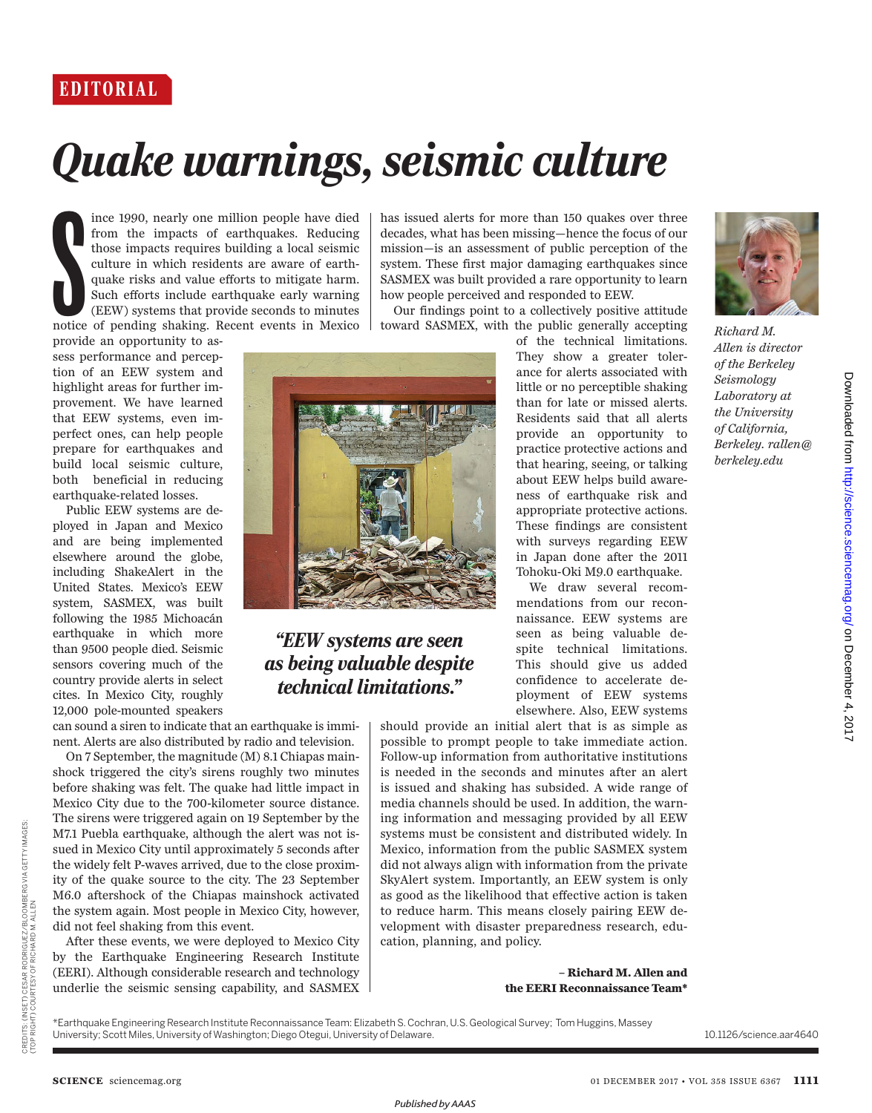## *Quake warnings, seismic culture*

Superior de la Carte de la Carte de la Carte de la Carte de la Carte de la Carte de la Carte de la Carte de la Carte de la Carte de la Carte de la Carte de la Carte de la Carte de la Carte de la Carte de la Carte de la Car ince 1990, nearly one million people have died from the impacts of earthquakes. Reducing those impacts requires building a local seismic culture in which residents are aware of earthquake risks and value efforts to mitigate harm. Such efforts include earthquake early warning (EEW) systems that provide seconds to minutes notice of pending shaking. Recent events in Mexico

provide an opportunity to assess performance and perception of an EEW system and highlight areas for further improvement. We have learned that EEW systems, even imperfect ones, can help people prepare for earthquakes and build local seismic culture, both beneficial in reducing earthquake-related losses.

Public EEW systems are deployed in Japan and Mexico and are being implemented elsewhere around the globe, including ShakeAlert in the United States. Mexico's EEW system, SASMEX, was built following the 1985 Michoacán earthquake in which more than 9500 people died. Seismic sensors covering much of the country provide alerts in select cites. In Mexico City, roughly 12,000 pole-mounted speakers

can sound a siren to indicate that an earthquake is imminent. Alerts are also distributed by radio and television.

On 7 September, the magnitude (M) 8.1 Chiapas mainshock triggered the city's sirens roughly two minutes before shaking was felt. The quake had little impact in Mexico City due to the 700-kilometer source distance. The sirens were triggered again on 19 September by the M7.1 Puebla earthquake, although the alert was not issued in Mexico City until approximately 5 seconds after the widely felt P-waves arrived, due to the close proximity of the quake source to the city. The 23 September M6.0 aftershock of the Chiapas mainshock activated the system again. Most people in Mexico City, however, did not feel shaking from this event.

After these events, we were deployed to Mexico City by the Earthquake Engineering Research Institute (EERI). Although considerable research and technology underlie the seismic sensing capability, and SASMEX

has issued alerts for more than 150 quakes over three decades, what has been missing—hence the focus of our mission—is an assessment of public perception of the system. These first major damaging earthquakes since SASMEX was built provided a rare opportunity to learn how people perceived and responded to EEW.

Our findings point to a collectively positive attitude toward SASMEX, with the public generally accepting



We draw several recommendations from our reconnaissance. EEW systems are seen as being valuable despite technical limitations. This should give us added confidence to accelerate deployment of EEW systems elsewhere. Also, EEW systems

should provide an initial alert that is as simple as possible to prompt people to take immediate action. Follow-up information from authoritative institutions is needed in the seconds and minutes after an alert is issued and shaking has subsided. A wide range of media channels should be used. In addition, the warning information and messaging provided by all EEW systems must be consistent and distributed widely. In Mexico, information from the public SASMEX system did not always align with information from the private SkyAlert system. Importantly, an EEW system is only as good as the likelihood that effective action is taken to reduce harm. This means closely pairing EEW development with disaster preparedness research, education, planning, and policy.

> **– Richard M. Allen and the EERI Reconnaissance Team\***

\*Earthquake Engineering Research Institute Reconnaissance Team: Elizabeth S. Cochran, U.S. Geological Survey; Tom Huggins, Massey University; Scott Miles, University of Washington; Diego Otegui, University of Delaware.

*"EEW systems are seen as being valuable despite technical limitations."*

*Richard M. Allen is director of the Berkeley Seismology Laboratory at the University of California, Berkeley. rallen@ berkeley.edu*

**SCIENCE** sciencemag.org

CREDITS: (INSET) CESAR RODRIGUEZ/BLOOMBERG VIA GETTY IMAGES;

CREDITS: (INSET) CESAR RODRIGUEZ/BLOOMBERG VIA GETTY IMAGES;<br>(TOP RIGHT) COURTESY OF RICHARD M. ALLEN

(TOP RIGHT) COURTESY OF RICHARD M. ALLEN

10.1126/science.aar4640

*Published byAAAS*